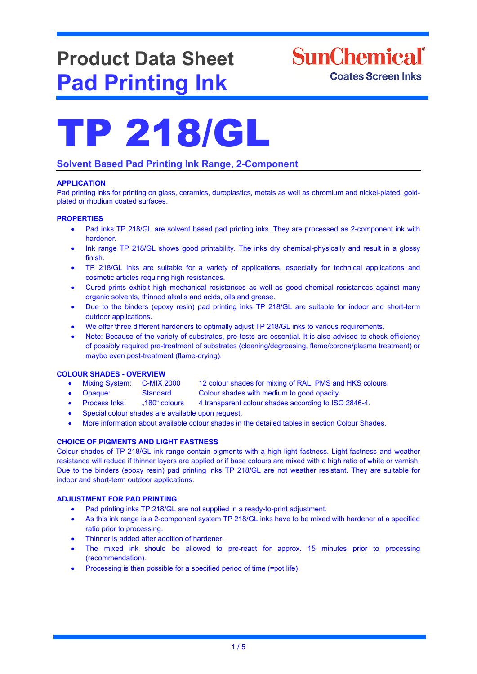# **Product Data Sheet Pad Printing Ink**



## **Solvent Based Pad Printing Ink Range, 2-Component**

#### **APPLICATION**

Pad printing inks for printing on glass, ceramics, duroplastics, metals as well as chromium and nickel-plated, goldplated or rhodium coated surfaces.

#### **PROPERTIES**

- Pad inks TP 218/GL are solvent based pad printing inks. They are processed as 2-component ink with hardener.
- Ink range TP 218/GL shows good printability. The inks dry chemical-physically and result in a glossy finish.
- TP 218/GL inks are suitable for a variety of applications, especially for technical applications and cosmetic articles requiring high resistances.
- Cured prints exhibit high mechanical resistances as well as good chemical resistances against many organic solvents, thinned alkalis and acids, oils and grease.
- Due to the binders (epoxy resin) pad printing inks TP 218/GL are suitable for indoor and short-term outdoor applications.
- We offer three different hardeners to optimally adjust TP 218/GL inks to various requirements.
- Note: Because of the variety of substrates, pre-tests are essential. It is also advised to check efficiency of possibly required pre-treatment of substrates (cleaning/degreasing, flame/corona/plasma treatment) or maybe even post-treatment (flame-drying).

- **COLOUR SHADES - OVERVIEW** 12 colour shades for mixing of RAL, PMS and HKS colours.
	- Opaque: Standard Colour shades with medium to good opacity.
	- Process Inks: "180" colours 4 transparent colour shades according to ISO 2846-4.
	- Special colour shades are available upon request.
	- More information about available colour shades in the detailed tables in section Colour Shades.

## **CHOICE OF PIGMENTS AND LIGHT FASTNESS**

Colour shades of TP 218/GL ink range contain pigments with a high light fastness. Light fastness and weather resistance will reduce if thinner layers are applied or if base colours are mixed with a high ratio of white or varnish. Due to the binders (epoxy resin) pad printing inks TP 218/GL are not weather resistant. They are suitable for indoor and short-term outdoor applications.

#### **ADJUSTMENT FOR PAD PRINTING**

- Pad printing inks TP 218/GL are not supplied in a ready-to-print adjustment.
- As this ink range is a 2-component system TP 218/GL inks have to be mixed with hardener at a specified ratio prior to processing.
- Thinner is added after addition of hardener.
- The mixed ink should be allowed to pre-react for approx. 15 minutes prior to processing (recommendation).
- Processing is then possible for a specified period of time (=pot life).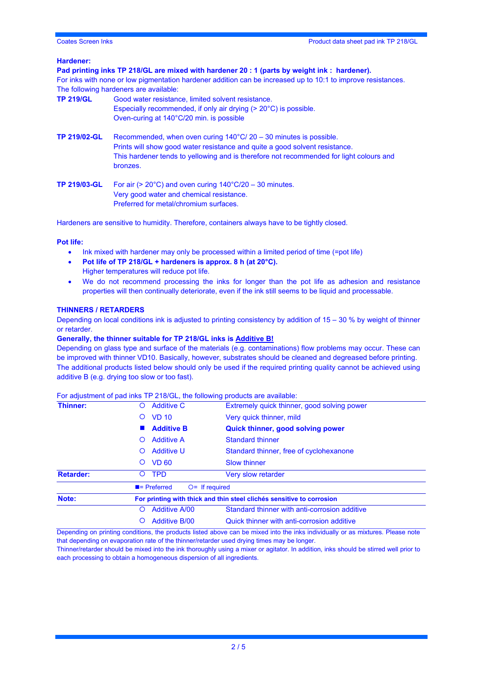#### **Hardener:**

| Pad printing inks TP 218/GL are mixed with hardener 20 : 1 (parts by weight ink : hardener).<br>For inks with none or low pigmentation hardener addition can be increased up to 10:1 to improve resistances.<br>The following hardeners are available: |                                                                                                                                                                                                                                                                   |  |  |  |
|--------------------------------------------------------------------------------------------------------------------------------------------------------------------------------------------------------------------------------------------------------|-------------------------------------------------------------------------------------------------------------------------------------------------------------------------------------------------------------------------------------------------------------------|--|--|--|
| <b>TP 219/GL</b>                                                                                                                                                                                                                                       | Good water resistance, limited solvent resistance.<br>Especially recommended, if only air drying $(>20^{\circ}C)$ is possible.<br>Oven-curing at 140°C/20 min. is possible                                                                                        |  |  |  |
| <b>TP 219/02-GL</b>                                                                                                                                                                                                                                    | Recommended, when oven curing $140^{\circ}$ C/ 20 – 30 minutes is possible.<br>Prints will show good water resistance and quite a good solvent resistance.<br>This hardener tends to yellowing and is therefore not recommended for light colours and<br>bronzes. |  |  |  |
| <b>TP 219/03-GL</b>                                                                                                                                                                                                                                    | For air ( $> 20^{\circ}$ C) and oven curing $140^{\circ}$ C/20 – 30 minutes.<br>Very good water and chemical resistance.<br>Preferred for metal/chromium surfaces.                                                                                                |  |  |  |

Hardeners are sensitive to humidity. Therefore, containers always have to be tightly closed.

#### **Pot life:**

- Ink mixed with hardener may only be processed within a limited period of time (=pot life)
- **Pot life of TP 218/GL + hardeners is approx. 8 h (at 20°C).**
- Higher temperatures will reduce pot life.
- We do not recommend processing the inks for longer than the pot life as adhesion and resistance properties will then continually deteriorate, even if the ink still seems to be liquid and processable.

#### **THINNERS / RETARDERS**

Depending on local conditions ink is adjusted to printing consistency by addition of 15 – 30 % by weight of thinner or retarder.

#### **Generally, the thinner suitable for TP 218/GL inks is Additive B!**

Depending on glass type and surface of the materials (e.g. contaminations) flow problems may occur. These can be improved with thinner VD10. Basically, however, substrates should be cleaned and degreased before printing. The additional products listed below should only be used if the required printing quality cannot be achieved using additive B (e.g. drying too slow or too fast).

#### For adjustment of pad inks TP 218/GL, the following products are available:

|                  |                                                                       | ັ່                                            |  |  |
|------------------|-----------------------------------------------------------------------|-----------------------------------------------|--|--|
| Thinner:         | <b>Additive C</b><br>O                                                | Extremely quick thinner, good solving power   |  |  |
|                  | <b>VD 10</b><br>O                                                     | Very quick thinner, mild                      |  |  |
|                  | <b>Additive B</b>                                                     | <b>Quick thinner, good solving power</b>      |  |  |
|                  | <b>Additive A</b><br>O                                                | <b>Standard thinner</b>                       |  |  |
|                  | <b>Additive U</b><br>$\circ$                                          | Standard thinner, free of cyclohexanone       |  |  |
|                  | <b>VD 60</b><br>Ő                                                     | <b>Slow thinner</b>                           |  |  |
| <b>Retarder:</b> | <b>TPD</b><br>Ő                                                       | <b>Very slow retarder</b>                     |  |  |
|                  | $\blacksquare$ Preferred<br>$O=$ If required                          |                                               |  |  |
| Note:            | For printing with thick and thin steel clichés sensitive to corrosion |                                               |  |  |
|                  | <b>Additive A/00</b><br>O                                             | Standard thinner with anti-corrosion additive |  |  |
|                  | <b>Additive B/00</b><br>Ő                                             | Quick thinner with anti-corrosion additive    |  |  |
|                  |                                                                       |                                               |  |  |

Depending on printing conditions, the products listed above can be mixed into the inks individually or as mixtures. Please note that depending on evaporation rate of the thinner/retarder used drying times may be longer.

Thinner/retarder should be mixed into the ink thoroughly using a mixer or agitator. In addition, inks should be stirred well prior to each processing to obtain a homogeneous dispersion of all ingredients.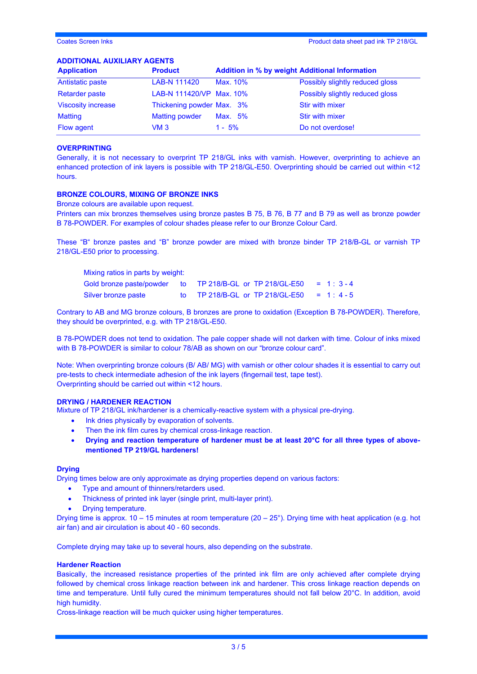#### **ADDITIONAL AUXILIARY AGENTS**

| <b>Application</b>        | <b>Product</b>            | <b>Addition in % by weight Additional Information</b> |                                 |
|---------------------------|---------------------------|-------------------------------------------------------|---------------------------------|
| Antistatic paste          | LAB-N 111420              | Max. 10%                                              | Possibly slightly reduced gloss |
| <b>Retarder paste</b>     | LAB-N 111420/VP Max. 10%  |                                                       | Possibly slightly reduced gloss |
| <b>Viscosity increase</b> | Thickening powder Max. 3% |                                                       | <b>Stir with mixer</b>          |
| <b>Matting</b>            | <b>Matting powder</b>     | Max. 5%                                               | <b>Stir with mixer</b>          |
| Flow agent                | VM 3                      | $1 - 5%$                                              | Do not overdose!                |

#### **OVERPRINTING**

Generally, it is not necessary to overprint TP 218/GL inks with varnish. However, overprinting to achieve an enhanced protection of ink layers is possible with TP 218/GL-E50. Overprinting should be carried out within <12 hours.

#### **BRONZE COLOURS, MIXING OF BRONZE INKS**

Bronze colours are available upon request.

Printers can mix bronzes themselves using bronze pastes B 75, B 76, B 77 and B 79 as well as bronze powder B 78-POWDER. For examples of colour shades please refer to our Bronze Colour Card.

These "B" bronze pastes and "B" bronze powder are mixed with bronze binder TP 218/B-GL or varnish TP 218/GL-E50 prior to processing.

| Mixing ratios in parts by weight: |  |                                                          |            |  |
|-----------------------------------|--|----------------------------------------------------------|------------|--|
|                                   |  | Gold bronze paste/powder to TP 218/B-GL or TP 218/GL-E50 | $= 1:3-4$  |  |
| Silver bronze paste               |  | to TP 218/B-GL or TP 218/GL-E50                          | $= 1: 4-5$ |  |

Contrary to AB and MG bronze colours, B bronzes are prone to oxidation (Exception B 78-POWDER). Therefore, they should be overprinted, e.g. with TP 218/GL-E50.

B 78-POWDER does not tend to oxidation. The pale copper shade will not darken with time. Colour of inks mixed with B 78-POWDER is similar to colour 78/AB as shown on our "bronze colour card".

Note: When overprinting bronze colours (B/ AB/ MG) with varnish or other colour shades it is essential to carry out pre-tests to check intermediate adhesion of the ink layers (fingernail test, tape test). Overprinting should be carried out within <12 hours.

#### **DRYING / HARDENER REACTION**

Mixture of TP 218/GL ink/hardener is a chemically-reactive system with a physical pre-drying.

- Ink dries physically by evaporation of solvents.
- Then the ink film cures by chemical cross-linkage reaction.
- **Drying and reaction temperature of hardener must be at least 20°C for all three types of abovementioned TP 219/GL hardeners!**

#### **Drying**

Drying times below are only approximate as drying properties depend on various factors:

- Type and amount of thinners/retarders used.
- Thickness of printed ink layer (single print, multi-layer print).
- Drying temperature.

Drying time is approx.  $10 - 15$  minutes at room temperature  $(20 - 25^{\circ})$ . Drying time with heat application (e.g. hot air fan) and air circulation is about 40 - 60 seconds.

Complete drying may take up to several hours, also depending on the substrate.

#### **Hardener Reaction**

Basically, the increased resistance properties of the printed ink film are only achieved after complete drying followed by chemical cross linkage reaction between ink and hardener. This cross linkage reaction depends on time and temperature. Until fully cured the minimum temperatures should not fall below 20°C. In addition, avoid high humidity.

Cross-linkage reaction will be much quicker using higher temperatures.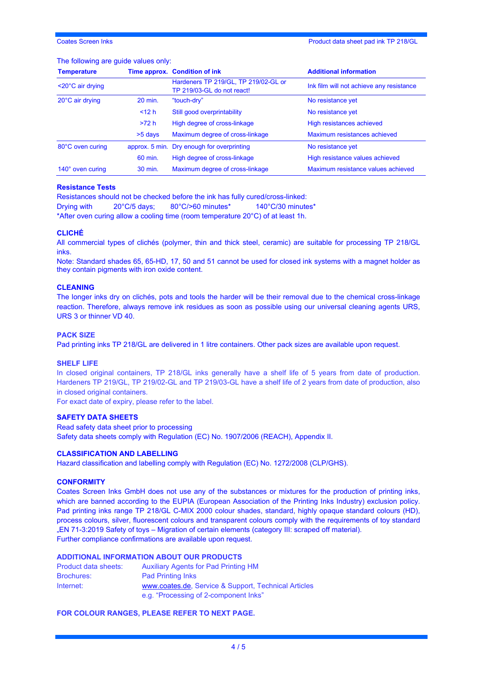## The following are guide values only:

| <b>Temperature</b>             |                        | Time approx. Condition of ink                                      | <b>Additional information</b>            |
|--------------------------------|------------------------|--------------------------------------------------------------------|------------------------------------------|
| $<$ 20 $^{\circ}$ C air drying |                        | Hardeners TP 219/GL, TP 219/02-GL or<br>TP 219/03-GL do not react! | Ink film will not achieve any resistance |
| 20°C air drying                | 20 min.<br>"touch-dry" |                                                                    | No resistance yet                        |
|                                | $<$ 12 h               | Still good overprintability                                        | No resistance yet                        |
|                                | >72 h                  | High degree of cross-linkage                                       | High resistances achieved                |
|                                | $>5$ days              | Maximum degree of cross-linkage                                    | Maximum resistances achieved             |
| 80°C oven curing               | approx. 5 min.         | Dry enough for overprinting                                        | No resistance yet                        |
|                                | 60 min.                | High degree of cross-linkage                                       | High resistance values achieved          |
| 140° oven curing               | 30 min.                | Maximum degree of cross-linkage                                    | Maximum resistance values achieved       |

#### **Resistance Tests**

Resistances should not be checked before the ink has fully cured/cross-linked: Drying with 20°C/5 days; 80°C/>60 minutes\* 140°C/30 minutes\* \*After oven curing allow a cooling time (room temperature 20°C) of at least 1h.

#### **CLICHÉ**

All commercial types of clichés (polymer, thin and thick steel, ceramic) are suitable for processing TP 218/GL inks.

Note: Standard shades 65, 65-HD, 17, 50 and 51 cannot be used for closed ink systems with a magnet holder as they contain pigments with iron oxide content.

#### **CLEANING**

The longer inks dry on clichés, pots and tools the harder will be their removal due to the chemical cross-linkage reaction. Therefore, always remove ink residues as soon as possible using our universal cleaning agents URS, URS 3 or thinner VD 40.

#### **PACK SIZE**

Pad printing inks TP 218/GL are delivered in 1 litre containers. Other pack sizes are available upon request.

#### **SHELF LIFE**

In closed original containers, TP 218/GL inks generally have a shelf life of 5 years from date of production. Hardeners TP 219/GL, TP 219/02-GL and TP 219/03-GL have a shelf life of 2 years from date of production, also in closed original containers.

For exact date of expiry, please refer to the label.

#### **SAFETY DATA SHEETS**

Read safety data sheet prior to processing Safety data sheets comply with Regulation (EC) No. 1907/2006 (REACH), Appendix II.

#### **CLASSIFICATION AND LABELLING**

Hazard classification and labelling comply with Regulation (EC) No. 1272/2008 (CLP/GHS).

#### **CONFORMITY**

Coates Screen Inks GmbH does not use any of the substances or mixtures for the production of printing inks, which are banned according to the EUPIA (European Association of the Printing Inks Industry) exclusion policy. Pad printing inks range TP 218/GL C-MIX 2000 colour shades, standard, highly opaque standard colours (HD), process colours, silver, fluorescent colours and transparent colours comply with the requirements of toy standard "EN 71-3:2019 Safety of toys – Migration of certain elements (category III: scraped off material). Further compliance confirmations are available upon request.

#### **ADDITIONAL INFORMATION ABOUT OUR PRODUCTS**

| Product data sheets: | <b>Auxiliary Agents for Pad Printing HM</b>          |
|----------------------|------------------------------------------------------|
| <b>Brochures:</b>    | <b>Pad Printing Inks</b>                             |
| Internet:            | www.coates.de, Service & Support, Technical Articles |
|                      | e.g. "Processing of 2-component lnks"                |

#### **FOR COLOUR RANGES, PLEASE REFER TO NEXT PAGE.**